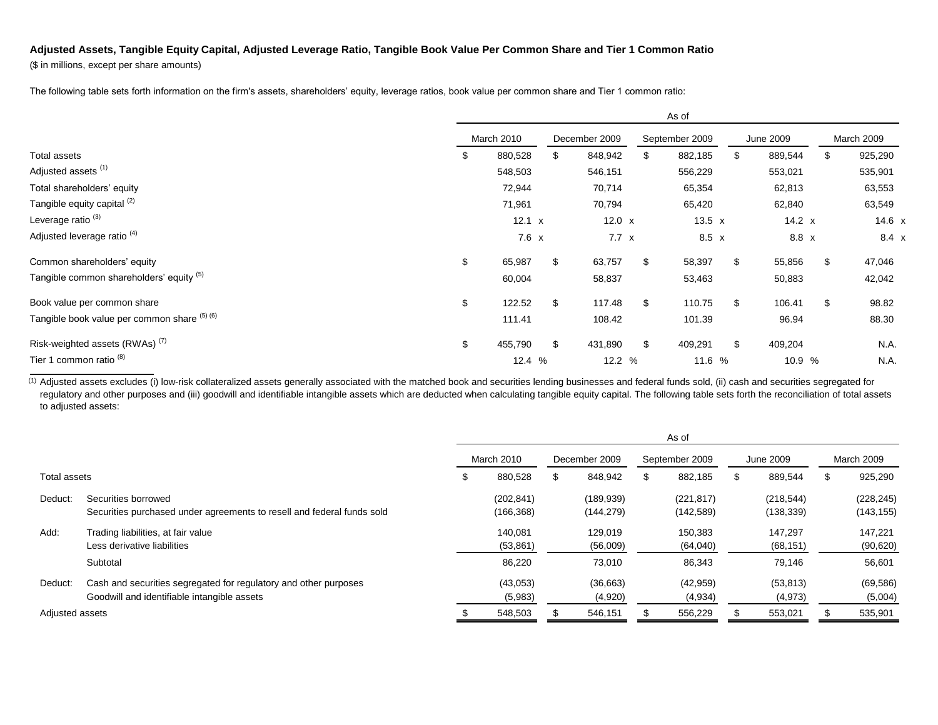## **Adjusted Assets, Tangible Equity Capital, Adjusted Leverage Ratio, Tangible Book Value Per Common Share and Tier 1 Common Ratio**

(\$ in millions, except per share amounts)

The following table sets forth information on the firm's assets, shareholders' equity, leverage ratios, book value per common share and Tier 1 common ratio:

|                                              | As of |              |     |               |    |                |    |               |    |            |
|----------------------------------------------|-------|--------------|-----|---------------|----|----------------|----|---------------|----|------------|
|                                              |       | March 2010   |     | December 2009 |    | September 2009 |    | June 2009     |    | March 2009 |
| Total assets                                 | S     | 880,528      |     | 848,942       | \$ | 882,185        | S. | 889,544       | \$ | 925,290    |
| Adjusted assets <sup>(1)</sup>               |       | 548,503      |     | 546,151       |    | 556,229        |    | 553,021       |    | 535,901    |
| Total shareholders' equity                   |       | 72,944       |     | 70,714        |    | 65,354         |    | 62,813        |    | 63,553     |
| Tangible equity capital <sup>(2)</sup>       |       | 71,961       |     | 70,794        |    | 65,420         |    | 62,840        |    | 63,549     |
| Leverage ratio <sup>(3)</sup>                |       | 12.1 x       |     | $12.0 \times$ |    | 13.5 $x$       |    | $14.2 \times$ |    | 14.6 $x$   |
| Adjusted leverage ratio <sup>(4)</sup>       |       | $7.6 \times$ |     | $7.7 \times$  |    | $8.5 \times$   |    | 8.8 x         |    | 8.4 x      |
| Common shareholders' equity                  | \$    | 65,987       | \$  | 63,757        | \$ | 58,397         | \$ | 55,856        | \$ | 47,046     |
| Tangible common shareholders' equity (5)     |       | 60,004       |     | 58,837        |    | 53,463         |    | 50,883        |    | 42,042     |
| Book value per common share                  | \$    | 122.52       | \$. | 117.48        | \$ | 110.75         | \$ | 106.41        | \$ | 98.82      |
| Tangible book value per common share (5) (6) |       | 111.41       |     | 108.42        |    | 101.39         |    | 96.94         |    | 88.30      |
| Risk-weighted assets (RWAs) <sup>(7)</sup>   | \$    | 455,790      | \$. | 431,890       | \$ | 409,291        | \$ | 409,204       |    | N.A.       |
| Tier 1 common ratio <sup>(8)</sup>           |       | 12.4 %       |     | 12.2 %        |    | 11.6 %         |    | 10.9 %        |    | N.A.       |

<sup>(1)</sup> Adjusted assets excludes (i) low-risk collateralized assets generally associated with the matched book and securities lending businesses and federal funds sold, (ii) cash and securities segregated for regulatory and other purposes and (iii) goodwill and identifiable intangible assets which are deducted when calculating tangible equity capital. The following table sets forth the reconciliation of total assets to adjusted assets:

|                 |                                                                                                                 | As of |                          |   |                          |  |                          |  |                          |    |                          |
|-----------------|-----------------------------------------------------------------------------------------------------------------|-------|--------------------------|---|--------------------------|--|--------------------------|--|--------------------------|----|--------------------------|
|                 |                                                                                                                 |       | March 2010               |   | December 2009            |  | September 2009           |  | June 2009                |    | March 2009               |
| Total assets    |                                                                                                                 | а     | 880,528                  | Æ | 848,942                  |  | 882,185                  |  | 889,544                  | \$ | 925,290                  |
| Deduct:         | Securities borrowed<br>Securities purchased under agreements to resell and federal funds sold                   |       | (202, 841)<br>(166, 368) |   | (189, 939)<br>(144, 279) |  | (221, 817)<br>(142, 589) |  | (218, 544)<br>(138, 339) |    | (228, 245)<br>(143, 155) |
| Add:            | Trading liabilities, at fair value<br>Less derivative liabilities                                               |       | 140,081<br>(53, 861)     |   | 129,019<br>(56,009)      |  | 150,383<br>(64,040)      |  | 147.297<br>(68, 151)     |    | 147.221<br>(90, 620)     |
|                 | Subtotal                                                                                                        |       | 86,220                   |   | 73,010                   |  | 86,343                   |  | 79,146                   |    | 56,601                   |
| Deduct:         | Cash and securities segregated for regulatory and other purposes<br>Goodwill and identifiable intangible assets |       | (43,053)<br>(5,983)      |   | (36,663)<br>(4,920)      |  | (42, 959)<br>(4,934)     |  | (53, 813)<br>(4, 973)    |    | (69, 586)<br>(5,004)     |
| Adjusted assets |                                                                                                                 |       | 548,503                  |   | 546,151                  |  | 556,229                  |  | 553,021                  |    | 535,901                  |